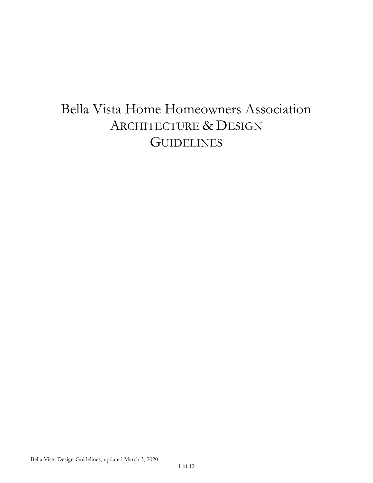# Bella Vista Home Homeowners Association ARCHITECTURE & DESIGN **GUIDELINES**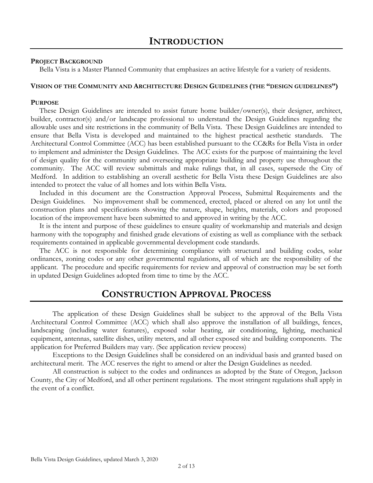#### **PROJECT BACKGROUND**

Bella Vista is a Master Planned Community that emphasizes an active lifestyle for a variety of residents.

#### **VISION OF THE COMMUNITY AND ARCHITECTURE DESIGN GUIDELINES (THE "DESIGN GUIDELINES")**

#### **PURPOSE**

These Design Guidelines are intended to assist future home builder/owner(s), their designer, architect, builder, contractor(s) and/or landscape professional to understand the Design Guidelines regarding the allowable uses and site restrictions in the community of Bella Vista. These Design Guidelines are intended to ensure that Bella Vista is developed and maintained to the highest practical aesthetic standards. The Architectural Control Committee (ACC) has been established pursuant to the CC&Rs for Bella Vista in order to implement and administer the Design Guidelines. The ACC exists for the purpose of maintaining the level of design quality for the community and overseeing appropriate building and property use throughout the community. The ACC will review submittals and make rulings that, in all cases, supersede the City of Medford. In addition to establishing an overall aesthetic for Bella Vista these Design Guidelines are also intended to protect the value of all homes and lots within Bella Vista.

Included in this document are the Construction Approval Process, Submittal Requirements and the Design Guidelines. No improvement shall be commenced, erected, placed or altered on any lot until the construction plans and specifications showing the nature, shape, heights, materials, colors and proposed location of the improvement have been submitted to and approved in writing by the ACC.

It is the intent and purpose of these guidelines to ensure quality of workmanship and materials and design harmony with the topography and finished grade elevations of existing as well as compliance with the setback requirements contained in applicable governmental development code standards.

The ACC is not responsible for determining compliance with structural and building codes, solar ordinances, zoning codes or any other governmental regulations, all of which are the responsibility of the applicant. The procedure and specific requirements for review and approval of construction may be set forth in updated Design Guidelines adopted from time to time by the ACC.

# **CONSTRUCTION APPROVAL PROCESS**

The application of these Design Guidelines shall be subject to the approval of the Bella Vista Architectural Control Committee (ACC) which shall also approve the installation of all buildings, fences, landscaping (including water features), exposed solar heating, air conditioning, lighting, mechanical equipment, antennas, satellite dishes, utility meters, and all other exposed site and building components. The application for Preferred Builders may vary. (See application review process)

Exceptions to the Design Guidelines shall be considered on an individual basis and granted based on architectural merit. The ACC reserves the right to amend or alter the Design Guidelines as needed.

All construction is subject to the codes and ordinances as adopted by the State of Oregon, Jackson County, the City of Medford, and all other pertinent regulations. The most stringent regulations shall apply in the event of a conflict.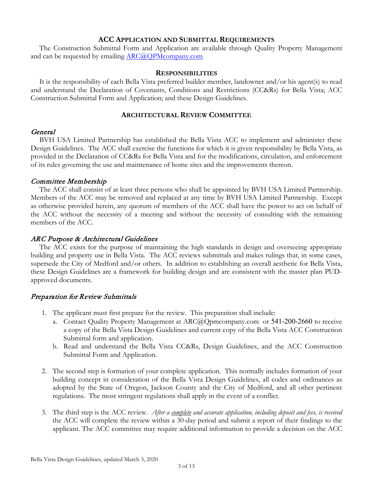# **ACC APPLICATION AND SUBMITTAL REQUIREMENTS**

The Construction Submittal Form and Application are available through Quality Property Management and can be requested by emailing [ARC@QPMcompany.com](mailto:ARC@QPMcompany.com)

#### **RESPONSIBILITIES**

It is the responsibility of each Bella Vista preferred builder member, landowner and/or his agent(s) to read and understand the Declaration of Covenants, Conditions and Restrictions (CC&Rs) for Bella Vista; ACC Construction Submittal Form and Application; and these Design Guidelines.

# **ARCHITECTURAL REVIEW COMMITTEE**

# General

BVH USA Limited Partnership has established the Bella Vista ACC to implement and administer these Design Guidelines. The ACC shall exercise the functions for which it is given responsibility by Bella Vista, as provided in the Declaration of CC&Rs for Bella Vista and for the modifications, circulation, and enforcement of its rules governing the use and maintenance of home sites and the improvements thereon.

# Committee Membership

The ACC shall consist of at least three persons who shall be appointed by BVH USA Limited Partnership. Members of the ACC may be removed and replaced at any time by BVH USA Limited Partnership. Except as otherwise provided herein, any quorum of members of the ACC shall have the power to act on behalf of the ACC without the necessity of a meeting and without the necessity of consulting with the remaining members of the ACC.

# ARC Purpose & Architectural Guidelines

The ACC exists for the purpose of maintaining the high standards in design and overseeing appropriate building and property use in Bella Vista. The ACC reviews submittals and makes rulings that, in some cases, supersede the City of Medford and/or others. In addition to establishing an overall aesthetic for Bella Vista, these Design Guidelines are a framework for building design and are consistent with the master plan PUDapproved documents.

# Preparation for Review Submittals

- 1. The applicant must first prepare for the review. This preparation shall include:
	- a. Contact Quality Property Management at ARC@Qpmcompany.com or 541-200-2660 to receive a copy of the Bella Vista Design Guidelines and current copy of the Bella Vista ACC Construction Submittal form and application.
	- b. Read and understand the Bella Vista CC&Rs, Design Guidelines, and the ACC Construction Submittal Form and Application.
- 2. The second step is formation of your complete application. This normally includes formation of your building concept in consideration of the Bella Vista Design Guidelines, all codes and ordinances as adopted by the State of Oregon, Jackson County and the City of Medford, and all other pertinent regulations. The most stringent regulations shall apply in the event of a conflict.
- 3. The third step is the ACC review. *After a complete and accurate application, including deposit and fees, is received* the ACC will complete the review within a 30-day period and submit a report of their findings to the applicant. The ACC committee may require additional information to provide a decision on the ACC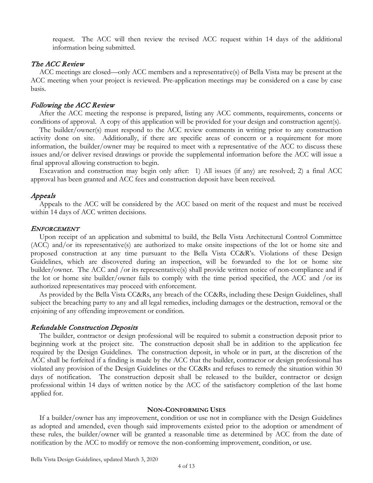request. The ACC will then review the revised ACC request within 14 days of the additional information being submitted.

# The ACC Review

ACC meetings are closed—only ACC members and a representative(s) of Bella Vista may be present at the ACC meeting when your project is reviewed. Pre-application meetings may be considered on a case by case basis.

#### Following the ACC Review

After the ACC meeting the response is prepared, listing any ACC comments, requirements, concerns or conditions of approval. A copy of this application will be provided for your design and construction agent(s).

The builder/owner(s) must respond to the ACC review comments in writing prior to any construction activity done on site. Additionally, if there are specific areas of concern or a requirement for more information, the builder/owner may be required to meet with a representative of the ACC to discuss these issues and/or deliver revised drawings or provide the supplemental information before the ACC will issue a final approval allowing construction to begin.

Excavation and construction may begin only after: 1) All issues (if any) are resolved; 2) a final ACC approval has been granted and ACC fees and construction deposit have been received.

#### Appeals

Appeals to the ACC will be considered by the ACC based on merit of the request and must be received within 14 days of ACC written decisions.

#### ENFORCEMENT

Upon receipt of an application and submittal to build, the Bella Vista Architectural Control Committee (ACC) and/or its representative(s) are authorized to make onsite inspections of the lot or home site and proposed construction at any time pursuant to the Bella Vista CC&R's. Violations of these Design Guidelines, which are discovered during an inspection, will be forwarded to the lot or home site builder/owner. The ACC and /or its representative(s) shall provide written notice of non-compliance and if the lot or home site builder/owner fails to comply with the time period specified, the ACC and /or its authorized representatives may proceed with enforcement.

As provided by the Bella Vista CC&Rs, any breach of the CC&Rs, including these Design Guidelines, shall subject the breaching party to any and all legal remedies, including damages or the destruction, removal or the enjoining of any offending improvement or condition.

#### Refundable Construction Deposits

The builder, contractor or design professional will be required to submit a construction deposit prior to beginning work at the project site. The construction deposit shall be in addition to the application fee required by the Design Guidelines. The construction deposit, in whole or in part, at the discretion of the ACC shall be forfeited if a finding is made by the ACC that the builder, contractor or design professional has violated any provision of the Design Guidelines or the CC&Rs and refuses to remedy the situation within 30 days of notification. The construction deposit shall be released to the builder, contractor or design professional within 14 days of written notice by the ACC of the satisfactory completion of the last home applied for.

#### **NON-CONFORMING USES**

If a builder/owner has any improvement, condition or use not in compliance with the Design Guidelines as adopted and amended, even though said improvements existed prior to the adoption or amendment of these rules, the builder/owner will be granted a reasonable time as determined by ACC from the date of notification by the ACC to modify or remove the non-conforming improvement, condition, or use.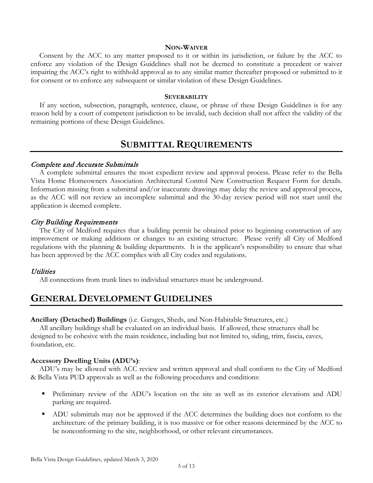#### **NON-WAIVER**

Consent by the ACC to any matter proposed to it or within its jurisdiction, or failure by the ACC to enforce any violation of the Design Guidelines shall not be deemed to constitute a precedent or waiver impairing the ACC's right to withhold approval as to any similar matter thereafter proposed or submitted to it for consent or to enforce any subsequent or similar violation of these Design Guidelines.

#### **SEVERABILITY**

If any section, subsection, paragraph, sentence, clause, or phrase of these Design Guidelines is for any reason held by a court of competent jurisdiction to be invalid, such decision shall not affect the validity of the remaining portions of these Design Guidelines.

# **SUBMITTAL REQUIREMENTS**

# Complete and Accurate Submittals

A complete submittal ensures the most expedient review and approval process. Please refer to the Bella Vista Home Homeowners Association Architectural Control New Construction Request Form for details. Information missing from a submittal and/or inaccurate drawings may delay the review and approval process, as the ACC will not review an incomplete submittal and the 30-day review period will not start until the application is deemed complete.

# City Building Requirements

The City of Medford requires that a building permit be obtained prior to beginning construction of any improvement or making additions or changes to an existing structure. Please verify all City of Medford regulations with the planning & building departments. It is the applicant's responsibility to ensure that what has been approved by the ACC complies with all City codes and regulations.

# **Utilities**

All connections from trunk lines to individual structures must be underground.

# **GENERAL DEVELOPMENT GUIDELINES**

#### **Ancillary (Detached) Buildings** (i.e. Garages, Sheds, and Non-Habitable Structures, etc.)

All ancillary buildings shall be evaluated on an individual basis. If allowed, these structures shall be designed to be cohesive with the main residence, including but not limited to, siding, trim, fascia, eaves, foundation, etc.

# **Accessory Dwelling Units (ADU's)**:

ADU's may be allowed with ACC review and written approval and shall conform to the City of Medford & Bella Vista PUD approvals as well as the following procedures and conditions:

- Preliminary review of the ADU's location on the site as well as its exterior elevations and ADU parking are required.
- ADU submittals may not be approved if the ACC determines the building does not conform to the architecture of the primary building, it is too massive or for other reasons determined by the ACC to be nonconforming to the site, neighborhood, or other relevant circumstances.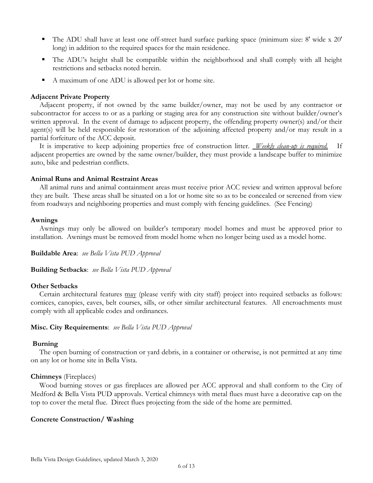- The ADU shall have at least one off-street hard surface parking space (minimum size: 8' wide x 20' long) in addition to the required spaces for the main residence.
- The ADU's height shall be compatible within the neighborhood and shall comply with all height restrictions and setbacks noted herein.
- A maximum of one ADU is allowed per lot or home site.

# **Adjacent Private Property**

Adjacent property, if not owned by the same builder/owner, may not be used by any contractor or subcontractor for access to or as a parking or staging area for any construction site without builder/owner's written approval. In the event of damage to adjacent property, the offending property owner(s) and/or their agent(s) will be held responsible for restoration of the adjoining affected property and/or may result in a partial forfeiture of the ACC deposit.

It is imperative to keep adjoining properties free of construction litter. *Weekly clean-up is required.* If adjacent properties are owned by the same owner/builder, they must provide a landscape buffer to minimize auto, bike and pedestrian conflicts.

#### **Animal Runs and Animal Restraint Areas**

All animal runs and animal containment areas must receive prior ACC review and written approval before they are built. These areas shall be situated on a lot or home site so as to be concealed or screened from view from roadways and neighboring properties and must comply with fencing guidelines. (See Fencing)

# **Awnings**

Awnings may only be allowed on builder's temporary model homes and must be approved prior to installation. Awnings must be removed from model home when no longer being used as a model home.

**Buildable Area**: *see Bella Vista PUD Approval*

**Building Setbacks**: *see Bella Vista PUD Approval*

# **Other Setbacks**

Certain architectural features may (please verify with city staff) project into required setbacks as follows: cornices, canopies, eaves, belt courses, sills, or other similar architectural features. All encroachments must comply with all applicable codes and ordinances.

#### **Misc. City Requirements**: *see Bella Vista PUD Approval*

#### **Burning**

The open burning of construction or yard debris, in a container or otherwise, is not permitted at any time on any lot or home site in Bella Vista.

#### **Chimneys** (Fireplaces)

Wood burning stoves or gas fireplaces are allowed per ACC approval and shall conform to the City of Medford & Bella Vista PUD approvals. Vertical chimneys with metal flues must have a decorative cap on the top to cover the metal flue. Direct flues projecting from the side of the home are permitted.

# **Concrete Construction/ Washing**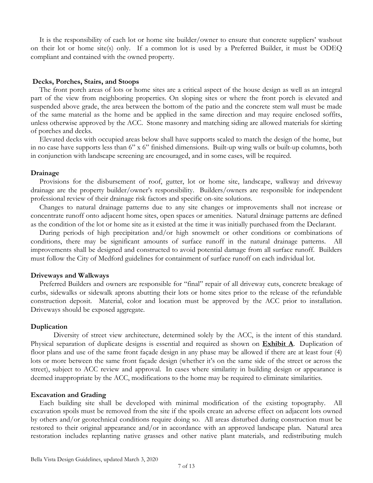It is the responsibility of each lot or home site builder/owner to ensure that concrete suppliers' washout on their lot or home site(s) only. If a common lot is used by a Preferred Builder, it must be ODEQ compliant and contained with the owned property.

#### **Decks, Porches, Stairs, and Stoops**

The front porch areas of lots or home sites are a critical aspect of the house design as well as an integral part of the view from neighboring properties. On sloping sites or where the front porch is elevated and suspended above grade, the area between the bottom of the patio and the concrete stem wall must be made of the same material as the home and be applied in the same direction and may require enclosed soffits, unless otherwise approved by the ACC. Stone masonry and matching siding are allowed materials for skirting of porches and decks.

Elevated decks with occupied areas below shall have supports scaled to match the design of the home, but in no case have supports less than 6" x 6" finished dimensions. Built-up wing walls or built-up columns, both in conjunction with landscape screening are encouraged, and in some cases, will be required.

#### **Drainage**

Provisions for the disbursement of roof, gutter, lot or home site, landscape, walkway and driveway drainage are the property builder/owner's responsibility. Builders/owners are responsible for independent professional review of their drainage risk factors and specific on-site solutions.

Changes to natural drainage patterns due to any site changes or improvements shall not increase or concentrate runoff onto adjacent home sites, open spaces or amenities. Natural drainage patterns are defined as the condition of the lot or home site as it existed at the time it was initially purchased from the Declarant.

During periods of high precipitation and/or high snowmelt or other conditions or combinations of conditions, there may be significant amounts of surface runoff in the natural drainage patterns. All improvements shall be designed and constructed to avoid potential damage from all surface runoff. Builders must follow the City of Medford guidelines for containment of surface runoff on each individual lot.

#### **Driveways and Walkways**

Preferred Builders and owners are responsible for "final" repair of all driveway cuts, concrete breakage of curbs, sidewalks or sidewalk aprons abutting their lots or home sites prior to the release of the refundable construction deposit. Material, color and location must be approved by the ACC prior to installation. Driveways should be exposed aggregate.

#### **Duplication**

Diversity of street view architecture, determined solely by the ACC, is the intent of this standard. Physical separation of duplicate designs is essential and required as shown on **Exhibit A**. Duplication of floor plans and use of the same front façade design in any phase may be allowed if there are at least four (4) lots or more between the same front façade design (whether it's on the same side of the street or across the street), subject to ACC review and approval. In cases where similarity in building design or appearance is deemed inappropriate by the ACC, modifications to the home may be required to eliminate similarities.

#### **Excavation and Grading**

Each building site shall be developed with minimal modification of the existing topography. All excavation spoils must be removed from the site if the spoils create an adverse effect on adjacent lots owned by others and/or geotechnical conditions require doing so. All areas disturbed during construction must be restored to their original appearance and/or in accordance with an approved landscape plan. Natural area restoration includes replanting native grasses and other native plant materials, and redistributing mulch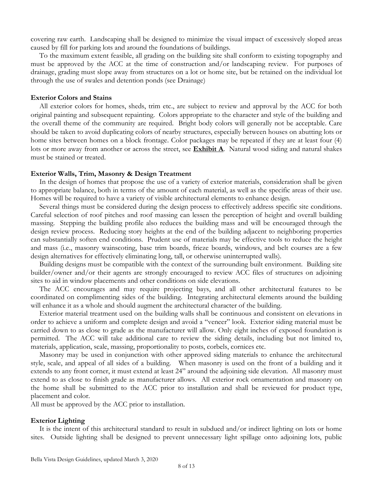covering raw earth. Landscaping shall be designed to minimize the visual impact of excessively sloped areas caused by fill for parking lots and around the foundations of buildings.

To the maximum extent feasible, all grading on the building site shall conform to existing topography and must be approved by the ACC at the time of construction and/or landscaping review. For purposes of drainage, grading must slope away from structures on a lot or home site, but be retained on the individual lot through the use of swales and detention ponds (see Drainage)

#### **Exterior Colors and Stains**

All exterior colors for homes, sheds, trim etc., are subject to review and approval by the ACC for both original painting and subsequent repainting. Colors appropriate to the character and style of the building and the overall theme of the community are required. Bright body colors will generally not be acceptable. Care should be taken to avoid duplicating colors of nearby structures, especially between houses on abutting lots or home sites between homes on a block frontage. Color packages may be repeated if they are at least four (4) lots or more away from another or across the street, see **Exhibit A**. Natural wood siding and natural shakes must be stained or treated.

#### **Exterior Walls, Trim, Masonry & Design Treatment**

In the design of homes that propose the use of a variety of exterior materials, consideration shall be given to appropriate balance, both in terms of the amount of each material, as well as the specific areas of their use. Homes will be required to have a variety of visible architectural elements to enhance design.

Several things must be considered during the design process to effectively address specific site conditions. Careful selection of roof pitches and roof massing can lessen the perception of height and overall building massing. Stepping the building profile also reduces the building mass and will be encouraged through the design review process. Reducing story heights at the end of the building adjacent to neighboring properties can substantially soften end conditions. Prudent use of materials may be effective tools to reduce the height and mass (i.e., masonry wainscoting, base trim boards, frieze boards, windows, and belt courses are a few design alternatives for effectively eliminating long, tall, or otherwise uninterrupted walls).

Building designs must be compatible with the context of the surrounding built environment. Building site builder/owner and/or their agents are strongly encouraged to review ACC files of structures on adjoining sites to aid in window placements and other conditions on side elevations.

The ACC encourages and may require projecting bays, and all other architectural features to be coordinated on complimenting sides of the building. Integrating architectural elements around the building will enhance it as a whole and should augment the architectural character of the building.

Exterior material treatment used on the building walls shall be continuous and consistent on elevations in order to achieve a uniform and complete design and avoid a "veneer" look. Exterior siding material must be carried down to as close to grade as the manufacturer will allow. Only eight inches of exposed foundation is permitted. The ACC will take additional care to review the siding details, including but not limited to, materials, application, scale, massing, proportionality to posts, corbels, cornices etc.

Masonry may be used in conjunction with other approved siding materials to enhance the architectural style, scale, and appeal of all sides of a building. When masonry is used on the front of a building and it extends to any front corner, it must extend at least 24" around the adjoining side elevation. All masonry must extend to as close to finish grade as manufacturer allows. All exterior rock ornamentation and masonry on the home shall be submitted to the ACC prior to installation and shall be reviewed for product type, placement and color.

All must be approved by the ACC prior to installation.

#### **Exterior Lighting**

It is the intent of this architectural standard to result in subdued and/or indirect lighting on lots or home sites. Outside lighting shall be designed to prevent unnecessary light spillage onto adjoining lots, public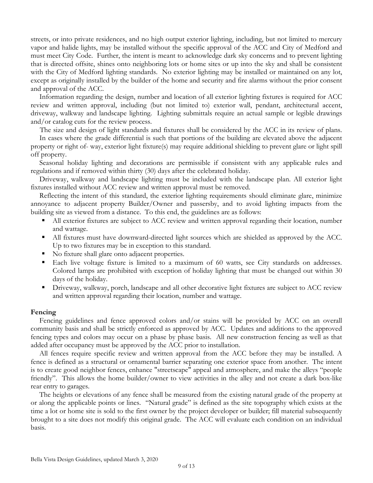streets, or into private residences, and no high output exterior lighting, including, but not limited to mercury vapor and halide lights, may be installed without the specific approval of the ACC and City of Medford and must meet City Code. Further, the intent is meant to acknowledge dark sky concerns and to prevent lighting that is directed offsite, shines onto neighboring lots or home sites or up into the sky and shall be consistent with the City of Medford lighting standards. No exterior lighting may be installed or maintained on any lot, except as originally installed by the builder of the home and security and fire alarms without the prior consent and approval of the ACC.

Information regarding the design, number and location of all exterior lighting fixtures is required for ACC review and written approval, including (but not limited to) exterior wall, pendant, architectural accent, driveway, walkway and landscape lighting. Lighting submittals require an actual sample or legible drawings and/or catalog cuts for the review process.

The size and design of light standards and fixtures shall be considered by the ACC in its review of plans.

In cases where the grade differential is such that portions of the building are elevated above the adjacent property or right of- way, exterior light fixture(s) may require additional shielding to prevent glare or light spill off property.

Seasonal holiday lighting and decorations are permissible if consistent with any applicable rules and regulations and if removed within thirty (30) days after the celebrated holiday.

Driveway, walkway and landscape lighting must be included with the landscape plan. All exterior light fixtures installed without ACC review and written approval must be removed.

Reflecting the intent of this standard, the exterior lighting requirements should eliminate glare, minimize annoyance to adjacent property Builder/Owner and passersby, and to avoid lighting impacts from the building site as viewed from a distance. To this end, the guidelines are as follows:

- All exterior fixtures are subject to ACC review and written approval regarding their location, number and wattage.
- All fixtures must have downward-directed light sources which are shielded as approved by the ACC. Up to two fixtures may be in exception to this standard.
- No fixture shall glare onto adjacent properties.
- Each live voltage fixture is limited to a maximum of 60 watts, see City standards on addresses. Colored lamps are prohibited with exception of holiday lighting that must be changed out within 30 days of the holiday.
- Driveway, walkway, porch, landscape and all other decorative light fixtures are subject to ACC review and written approval regarding their location, number and wattage.

#### **Fencing**

Fencing guidelines and fence approved colors and/or stains will be provided by ACC on an overall community basis and shall be strictly enforced as approved by ACC. Updates and additions to the approved fencing types and colors may occur on a phase by phase basis. All new construction fencing as well as that added after occupancy must be approved by the ACC prior to installation.

All fences require specific review and written approval from the ACC before they may be installed. A fence is defined as a structural or ornamental barrier separating one exterior space from another. The intent is to create good neighbor fences, enhance "streetscape" appeal and atmosphere, and make the alleys "people friendly". This allows the home builder/owner to view activities in the alley and not create a dark box-like rear entry to garages.

The heights or elevations of any fence shall be measured from the existing natural grade of the property at or along the applicable points or lines. "Natural grade" is defined as the site topography which exists at the time a lot or home site is sold to the first owner by the project developer or builder; fill material subsequently brought to a site does not modify this original grade. The ACC will evaluate each condition on an individual basis.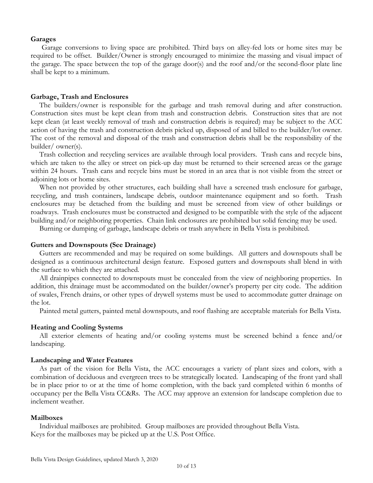#### **Garages**

Garage conversions to living space are prohibited. Third bays on alley-fed lots or home sites may be required to be offset. Builder/Owner is strongly encouraged to minimize the massing and visual impact of the garage. The space between the top of the garage door(s) and the roof and/or the second-floor plate line shall be kept to a minimum.

#### **Garbage, Trash and Enclosures**

The builders/owner is responsible for the garbage and trash removal during and after construction. Construction sites must be kept clean from trash and construction debris. Construction sites that are not kept clean (at least weekly removal of trash and construction debris is required) may be subject to the ACC action of having the trash and construction debris picked up, disposed of and billed to the builder/lot owner. The cost of the removal and disposal of the trash and construction debris shall be the responsibility of the builder/ owner(s).

Trash collection and recycling services are available through local providers. Trash cans and recycle bins, which are taken to the alley or street on pick-up day must be returned to their screened areas or the garage within 24 hours. Trash cans and recycle bins must be stored in an area that is not visible from the street or adjoining lots or home sites.

When not provided by other structures, each building shall have a screened trash enclosure for garbage, recycling, and trash containers, landscape debris, outdoor maintenance equipment and so forth. Trash enclosures may be detached from the building and must be screened from view of other buildings or roadways. Trash enclosures must be constructed and designed to be compatible with the style of the adjacent building and/or neighboring properties. Chain link enclosures are prohibited but solid fencing may be used.

Burning or dumping of garbage, landscape debris or trash anywhere in Bella Vista is prohibited.

#### **Gutters and Downspouts (See Drainage)**

Gutters are recommended and may be required on some buildings. All gutters and downspouts shall be designed as a continuous architectural design feature. Exposed gutters and downspouts shall blend in with the surface to which they are attached.

All drainpipes connected to downspouts must be concealed from the view of neighboring properties. In addition, this drainage must be accommodated on the builder/owner's property per city code. The addition of swales, French drains, or other types of drywell systems must be used to accommodate gutter drainage on the lot.

Painted metal gutters, painted metal downspouts, and roof flashing are acceptable materials for Bella Vista.

#### **Heating and Cooling Systems**

All exterior elements of heating and/or cooling systems must be screened behind a fence and/or landscaping.

#### **Landscaping and Water Features**

As part of the vision for Bella Vista, the ACC encourages a variety of plant sizes and colors, with a combination of deciduous and evergreen trees to be strategically located. Landscaping of the front yard shall be in place prior to or at the time of home completion, with the back yard completed within 6 months of occupancy per the Bella Vista CC&Rs. The ACC may approve an extension for landscape completion due to inclement weather.

#### **Mailboxes**

Individual mailboxes are prohibited. Group mailboxes are provided throughout Bella Vista. Keys for the mailboxes may be picked up at the U.S. Post Office.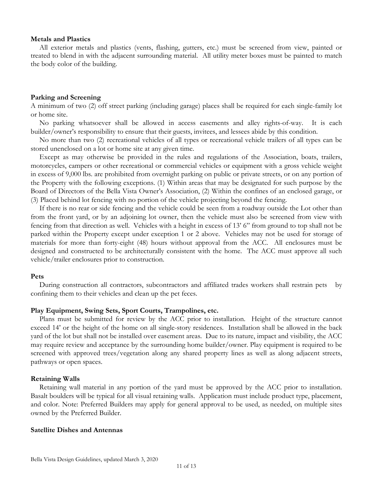#### **Metals and Plastics**

All exterior metals and plastics (vents, flashing, gutters, etc.) must be screened from view, painted or treated to blend in with the adjacent surrounding material. All utility meter boxes must be painted to match the body color of the building.

#### **Parking and Screening**

A minimum of two (2) off street parking (including garage) places shall be required for each single-family lot or home site.

No parking whatsoever shall be allowed in access easements and alley rights-of-way. It is each builder/owner's responsibility to ensure that their guests, invitees, and lessees abide by this condition.

No more than two (2) recreational vehicles of all types or recreational vehicle trailers of all types can be stored unenclosed on a lot or home site at any given time.

Except as may otherwise be provided in the rules and regulations of the Association, boats, trailers, motorcycles, campers or other recreational or commercial vehicles or equipment with a gross vehicle weight in excess of 9,000 lbs. are prohibited from overnight parking on public or private streets, or on any portion of the Property with the following exceptions. (1) Within areas that may be designated for such purpose by the Board of Directors of the Bella Vista Owner's Association, (2) Within the confines of an enclosed garage, or (3) Placed behind lot fencing with no portion of the vehicle projecting beyond the fencing.

If there is no rear or side fencing and the vehicle could be seen from a roadway outside the Lot other than from the front yard, or by an adjoining lot owner, then the vehicle must also be screened from view with fencing from that direction as well. Vehicles with a height in excess of 13' 6" from ground to top shall not be parked within the Property except under exception 1 or 2 above. Vehicles may not be used for storage of materials for more than forty-eight (48) hours without approval from the ACC. All enclosures must be designed and constructed to be architecturally consistent with the home. The ACC must approve all such vehicle/trailer enclosures prior to construction.

#### **Pets**

During construction all contractors, subcontractors and affiliated trades workers shall restrain pets by confining them to their vehicles and clean up the pet feces.

#### **Play Equipment, Swing Sets, Sport Courts, Trampolines, etc.**

Plans must be submitted for review by the ACC prior to installation. Height of the structure cannot exceed 14' or the height of the home on all single-story residences. Installation shall be allowed in the back yard of the lot but shall not be installed over easement areas. Due to its nature, impact and visibility, the ACC may require review and acceptance by the surrounding home builder/owner. Play equipment is required to be screened with approved trees/vegetation along any shared property lines as well as along adjacent streets, pathways or open spaces.

#### **Retaining Walls**

Retaining wall material in any portion of the yard must be approved by the ACC prior to installation. Basalt boulders will be typical for all visual retaining walls. Application must include product type, placement, and color. Note: Preferred Builders may apply for general approval to be used, as needed, on multiple sites owned by the Preferred Builder.

#### **Satellite Dishes and Antennas**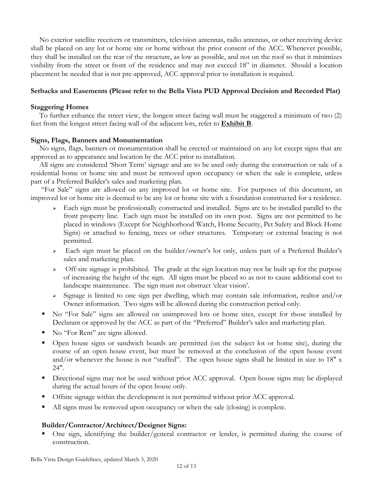No exterior satellite receivers or transmitters, television antennas, radio antennas, or other receiving device shall be placed on any lot or home site or home without the prior consent of the ACC. Whenever possible, they shall be installed on the rear of the structure, as low as possible, and not on the roof so that it minimizes visibility from the street or front of the residence and may not exceed 18" in diameter. Should a location placement be needed that is not pre-approved, ACC approval prior to installation is required.

# **Setbacks and Easements (Please refer to the Bella Vista PUD Approval Decision and Recorded Plat)**

# **Staggering Homes**

To further enhance the street view, the longest street facing wall must be staggered a minimum of two (2) feet from the longest street facing wall of the adjacent lots, refer to **Exhibit B**.

# **Signs, Flags, Banners and Monumentation**

No signs, flags, banners or monumentation shall be erected or maintained on any lot except signs that are approved as to appearance and location by the ACC prior to installation.

All signs are considered 'Short Term' signage and are to be used only during the construction or sale of a residential home or home site and must be removed upon occupancy or when the sale is complete, unless part of a Preferred Builder's sales and marketing plan.

"For Sale" signs are allowed on any improved lot or home site. For purposes of this document, an improved lot or home site is deemed to be any lot or home site with a foundation constructed for a residence.

- Each sign must be professionally constructed and installed. Signs are to be installed parallel to the front property line. Each sign must be installed on its own post. Signs are not permitted to be placed in windows (Except for Neighborhood Watch, Home Security, Pet Safety and Block Home Signs) or attached to fencing, trees or other structures. Temporary or external bracing is not permitted.
- $\geq$  Each sign must be placed on the builder/owner's lot only, unless part of a Preferred Builder's sales and marketing plan.
- > Off-site signage is prohibited. The grade at the sign location may not be built up for the purpose of increasing the height of the sign. All signs must be placed so as not to cause additional cost to landscape maintenance. The sign must not obstruct 'clear vision'.
- $\geq$  Signage is limited to one sign per dwelling, which may contain sale information, realtor and/or Owner information. Two signs will be allowed during the construction period only.
- No "For Sale" signs are allowed on unimproved lots or home sites, except for those installed by Declarant or approved by the ACC as part of the "Preferred" Builder's sales and marketing plan.
- No "For Rent" are signs allowed.
- Open house signs or sandwich boards are permitted (on the subject lot or home site), during the course of an open house event, but must be removed at the conclusion of the open house event and/or whenever the house is not "staffed". The open house signs shall be limited in size to 18" x 24".
- **Directional signs may not be used without prior ACC approval.** Open house signs may be displayed during the actual hours of the open house only.
- Offsite signage within the development is not permitted without prior ACC approval.
- If All signs must be removed upon occupancy or when the sale (closing) is complete.

# **Builder/Contractor/Architect/Designer Signs:**

 One sign, identifying the builder/general contractor or lender, is permitted during the course of construction.